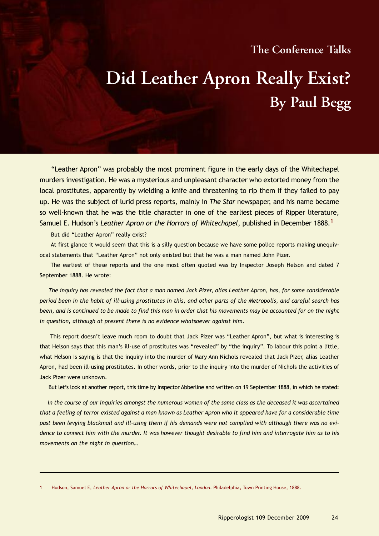## **The Conference Talks**

## **Did Leather Apron Really Exist? By Paul Begg**

"Leather Apron" was probably the most prominent figure in the early days of the Whitechapel murders investigation. He was a mysterious and unpleasant character who extorted money from the local prostitutes, apparently by wielding a knife and threatening to rip them if they failed to pay up. He was the subject of lurid press reports, mainly in *The Star* newspaper, and his name became so well-known that he was the title character in one of the earliest pieces of Ripper literature, Samuel E. Hudson's *Leather Apron or the Horrors of Whitechapel*, published in December 1888.1

But did "Leather Apron" really exist?

At first glance it would seem that this is a silly question because we have some police reports making unequivocal statements that "Leather Apron" not only existed but that he was a man named John Pizer.

The earliest of these reports and the one most often quoted was by Inspector Joseph Helson and dated 7 September 1888. He wrote:

The inquiry has revealed the fact that a man named Jack Pizer, alias Leather Apron, has, for some considerable period been in the habit of ill-using prostitutes in this, and other parts of the Metropolis, and careful search has been, and is continued to be made to find this man in order that his movements may be accounted for on the night *in question, although at present there is no evidence whatsoever against him.*

This report doesn't leave much room to doubt that Jack Pizer was "Leather Apron", but what is interesting is that Helson says that this man's ill-use of prostitutes was "revealed" by "the inquiry". To labour this point a little, what Helson is saying is that the inquiry into the murder of Mary Ann Nichols revealed that Jack Pizer, alias Leather Apron, had been ill-using prostitutes. In other words, prior to the inquiry into the murder of Nichols the activities of Jack Pizer were unknown.

But let's look at another report, this time by Inspector Abberline and written on 19 September 1888, in which he stated:

In the course of our inquiries amongst the numerous women of the same class as the deceased it was ascertained that a feeling of terror existed against a man known as Leather Apron who it appeared have for a considerable time past been levying blackmail and ill-using them if his demands were not complied with although there was no evidence to connect him with the murder. It was however thought desirable to find him and interrogate him as to his *movements on the night in question…*

1 Hudson, Samuel E, *Leather Apron or the Horrors of Whitechapel, London*. Philadelphia, Town Printing House, 1888.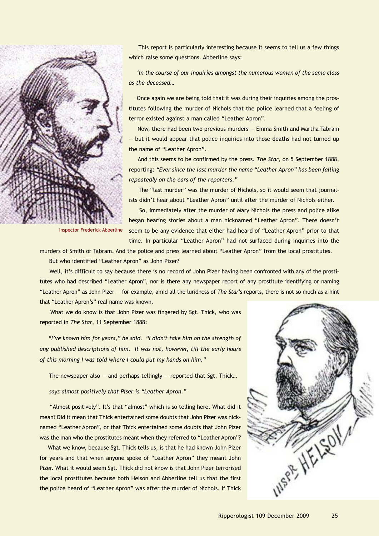

Inspector Frederick Abberline

This report is particularly interesting because it seems to tell us a few things which raise some questions. Abberline says:

*'In the course of our inquiries amongst the numerous women of the same class as the deceased…*

Once again we are being told that it was during their inquiries among the prostitutes following the murder of Nichols that the police learned that a feeling of terror existed against a man called "Leather Apron".

Now, there had been two previous murders — Emma Smith and Martha Tabram — but it would appear that police inquiries into those deaths had not turned up the name of "Leather Apron".

And this seems to be confirmed by the press. *The Star*, on 5 September 1888, reporting: *"Ever since the last murder the name "Leather Apron" has been falling repeatedly on the ears of the reporters."*

The "last murder" was the murder of Nichols, so it would seem that journalists didn't hear about "Leather Apron" until after the murder of Nichols either.

So, immediately after the murder of Mary Nichols the press and police alike began hearing stories about a man nicknamed "Leather Apron". There doesn't seem to be any evidence that either had heard of "Leather Apron" prior to that time. In particular "Leather Apron" had not surfaced during inquiries into the

murders of Smith or Tabram. And the police and press learned about "Leather Apron" from the local prostitutes.

But who identified "Leather Apron" as John Pizer?

Well, it's difficult to say because there is no record of John Pizer having been confronted with any of the prostitutes who had described "Leather Apron", nor is there any newspaper report of any prostitute identifying or naming "Leather Apron" as John Pizer — for example, amid all the luridness of *The Star*'s reports, there is not so much as a hint that "Leather Apron's" real name was known.

What we do know is that John Pizer was fingered by Sgt. Thick, who was reported in *The Star*, 11 September 1888:

*"I've known him for years," he said. "I didn't take him on the strength of any published descriptions of him. It was not, however, till the early hours of this morning I was told where I could put my hands on him."*

The newspaper also  $-$  and perhaps tellingly  $-$  reported that Sgt. Thick...

*says almost positively that Piser is "Leather Apron."*

"Almost positively". It's that "almost" which is so telling here. What did it mean? Did it mean that Thick entertained some doubts that John Pizer was nicknamed "Leather Apron", or that Thick entertained some doubts that John Pizer was the man who the prostitutes meant when they referred to "Leather Apron"?

What we know, because Sgt. Thick tells us, is that he had known John Pizer for years and that when anyone spoke of "Leather Apron" they meant John Pizer. What it would seem Sgt. Thick did not know is that John Pizer terrorised the local prostitutes because both Helson and Abberline tell us that the first the police heard of "Leather Apron" was after the murder of Nichols. If Thick

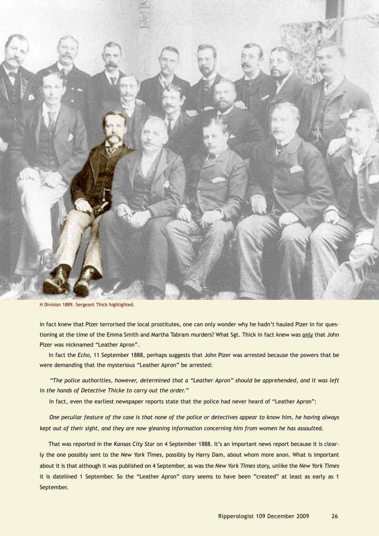

H Division 1889. Sergeant Thick highlighted.

in fact knew that Pizer terrorised the local prostitutes, one can only wonder why he hadn't hauled Pizer in for questioning at the time of the Emma Smith and Martha Tabram murders? What Sgt. Thick in fact knew was only that John Pizer was nicknamed "Leather Apron".

In fact the *Echo,* 11 September 1888, perhaps suggests that John Pizer was arrested because the powers that be were demanding that the mysterious "Leather Apron" be arrested:

*"The police authorities, however, determined that a "Leather Apron" should be apprehended, and it was left in the hands of Detective Thicke to carry out the order."*

In fact, even the earliest newspaper reports state that the police had never heard of "Leather Apron":

One peculiar feature of the case is that none of the police or detectives appear to know him, he having always kept out of their sight, and they are now gleaning information concerning him from women he has assaulted.

That was reported in the *Kansas City Star* on 4 September 1888. It's an important news report because it is clearly the one possibly sent to the *New York Times*, possibly by Harry Dam, about whom more anon. What is important about it is that although it was published on 4 September, as was the *New York Times* story, unlike the *New York Times* it is datelined 1 September. So the "Leather Apron" story seems to have been "created" at least as early as 1 September.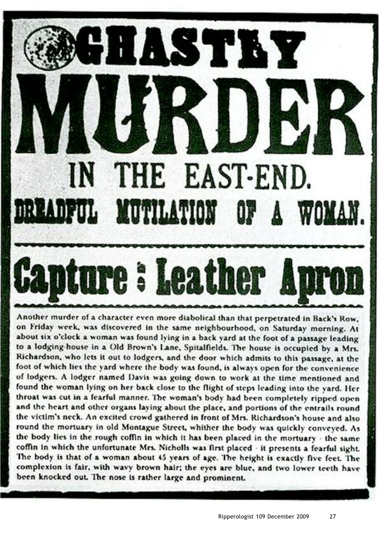

Another murder of a character even more diabolical than that perpetrated in Back's Row, on Friday week, was discovered in the same neighbourhood, on Saturday morning. At about six o'clock a woman was found lying in a back yard at the foot of a passage leading to a lodging-house in a Old Brown's Lane, Spitalfields. The house is occupied by a Mrs. Richardson, who lets it out to lodgers, and the door which admits to this passage, at the foot of which lies the yard where the body was found, is always open for the convenience of lodgers. A lodger named Davis was going down to work at the time mentioned and found the woman lying on her back close to the flight of steps leading into the yard. Her throat was cut in a fearful manner. The woman's body had been completely ripped open and the heart and other organs laying about the place, and portions of the entrails round the victim's neck. An excited crowd gathered in front of Mrs. Richardson's house and also round the mortuary in old Montague Street, whither the body was quickly conveyed. As the body lies in the rough coffin in which it has been placed in the mortuary - the same coffin in which the unfortunate Mrs. Nicholls was first placed - it presents a fearful sight. The body is that of a woman about 45 years of age. The height is exactly five feet. The complexion is fair, with wavy brown hair; the eyes are blue, and two lower teeth have been knocked out. The nose is rather large and prominent.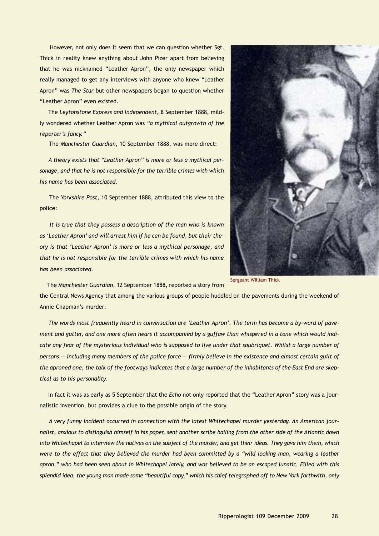However, not only does it seem that we can question whether Sgt. Thick in reality knew anything about John Pizer apart from believing that he was nicknamed "Leather Apron", the only newspaper which really managed to get any interviews with anyone who knew "Leather Apron" was *The Star* but other newspapers began to question whether "Leather Apron" even existed.

The *Leytonstone Express and Independent*, 8 September 1888, mildly wondered whether Leather Apron was *"a mythical outgrowth of the reporter's fancy."*

The *Manchester Guardian*, 10 September 1888, was more direct:

*A theory exists that "Leather Apron" is more or less a mythical personage, and that he is not responsible for the terrible crimes with which his name has been associated.*

The *Yorkshire Post,* 10 September 1888, attributed this view to the police:





The *Manchester Guardian*, 12 September 1888, reported a story from

the Central News Agency that among the various groups of people huddled on the pavements during the weekend of Annie Chapman's murder:

The words most frequently heard in conversation are 'Leather Apron'. The term has become a by-word of pavement and gutter, and one more often hears it accompanied by a guffaw than whispered in a tone which would indicate any fear of the mysterious individual who is supposed to live under that soubriquet. Whilst a large number of persons – including many members of the police force – firmly believe in the existence and almost certain guilt of the aproned one, the talk of the footways indicates that a large number of the inhabitants of the East End are skep*tical as to his personality.*

In fact it was as early as 5 September that the *Echo* not only reported that the "Leather Apron" story was a journalistic invention, but provides a clue to the possible origin of the story.

*A very funny incident occurred in connection with the latest Whitechapel murder yesterday. An American jour*nalist, anxious to distinguish himself in his paper, sent another scribe hailing from the other side of the Atlantic down into Whitechapel to interview the natives on the subject of the murder, and get their ideas. They gave him them, which were to the effect that they believed the murder had been committed by a "wild looking man, wearing a leather apron," who had been seen about in Whitechapel lately, and was believed to be an escaped lunatic. Filled with this splendid idea, the young man made some "beautiful copy," which his chief telegraphed off to New York forthwith, only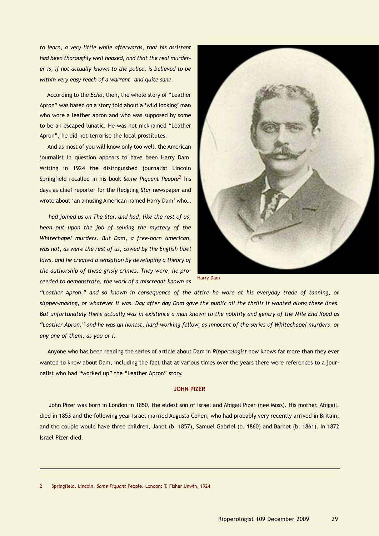*to learn, a very little while afterwards, that his assistant had been thoroughly well hoaxed, and that the real murderer is, if not actually known to the police, is believed to be within very easy reach of a warrant*—*and quite sane.*

According to the *Echo*, then, the whole story of "Leather Apron" was based on a story told about a 'wild looking' man who wore a leather apron and who was supposed by some to be an escaped lunatic. He was not nicknamed "Leather Apron", he did not terrorise the local prostitutes.

And as most of you will know only too well, the American journalist in question appears to have been Harry Dam. Writing in 1924 the distinguished journalist Lincoln Springfield recalled in his book *Some Piquant People2* his days as chief reporter for the fledgling *Star* newspaper and wrote about 'an amusing American named Harry Dam' who…

*had joined us on The Star, and had, like the rest of us, been put upon the job of solving the mystery of the Whitechapel murders. But Dam, a free-born American, was not, as were the rest of us, cowed by the English libel laws, and he created a sensation by developing a theory of the authorship of these grisly crimes. They were, he proceeded to demonstrate, the work of a miscreant known as*



Harry Dam

"Leather Apron," and so known in consequence of the attire he wore at his everyday trade of tanning, or slipper-making, or whatever it was. Day after day Dam gave the public all the thrills it wanted along these lines. But unfortunately there actually was in existence a man known to the nobility and gentry of the Mile End Road as "Leather Apron," and he was an honest, hard-working fellow, as innocent of the series of Whitechapel murders, or *any one of them, as you or I.*

Anyone who has been reading the series of article about Dam in *Ripperologist* now knows far more than they ever wanted to know about Dam, including the fact that at various times over the years there were references to a journalist who had "worked up" the "Leather Apron" story.

## **JOHN PIZER**

John Pizer was born in London in 1850, the eldest son of Israel and Abigail Pizer (nee Moss). His mother, Abigail, died in 1853 and the following year Israel married Augusta Cohen, who had probably very recently arrived in Britain, and the couple would have three children, Janet (b. 1857), Samuel Gabriel (b. 1860) and Barnet (b. 1861). In 1872 Israel Pizer died.

2 Springfield, Lincoln. *Some Piquant* People. London: T. Fisher Unwin, 1924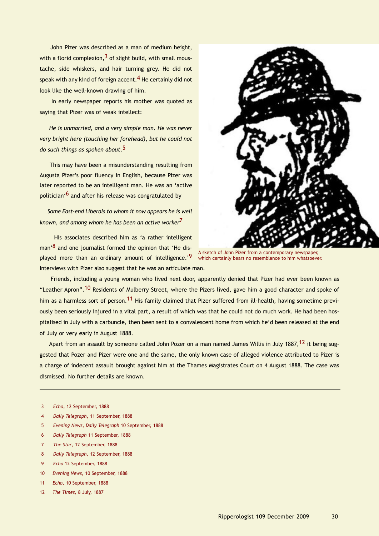John Pizer was described as a man of medium height, with a florid complexion,  $3$  of slight build, with small moustache, side whiskers, and hair turning grey. He did not speak with any kind of foreign accent. $4$  He certainly did not look like the well-known drawing of him.

In early newspaper reports his mother was quoted as saying that Pizer was of weak intellect:

*He is unmarried, and a very simple man. He was never very bright here (touching her forehead), but he could not do such things as spoken about*.5

This may have been a misunderstanding resulting from Augusta Pizer's poor fluency in English, because Pizer was later reported to be an intelligent man. He was an 'active politician'6 and after his release was congratulated by

*Some East-end Liberals to whom it now appears he is well known, and among whom he has been an active worker*7

His associates described him as 'a rather intelligent man'<sup>8</sup> and one journalist formed the opinion that 'He displayed more than an ordinary amount of intelligence.<sup>'9</sup> which certainly bears no resemblance to him whatsoever. Interviews with Pizer also suggest that he was an articulate man.



A sketch of John Pizer from a contemporary newspaper,

Friends, including a young woman who lived next door, apparently denied that Pizer had ever been known as "Leather Apron".<sup>10</sup> Residents of Mulberry Street, where the Pizers lived, gave him a good character and spoke of him as a harmless sort of person.<sup>11</sup> His family claimed that Pizer suffered from ill-health, having sometime previously been seriously injured in a vital part, a result of which was that he could not do much work. He had been hospitalised in July with a carbuncle, then been sent to a convalescent home from which he'd been released at the end of July or very early in August 1888.

Apart from an assault by someone called John Pozer on a man named James Willis in July 1887,  $12$  it being suggested that Pozer and Pizer were one and the same, the only known case of alleged violence attributed to Pizer is a charge of indecent assault brought against him at the Thames Magistrates Court on 4 August 1888. The case was dismissed. No further details are known.

- 3 *Echo*, 12 September, 1888
- 4 *Daily Telegraph*, 11 September, 1888
- 5 *Evening News*, *Daily Telegraph* 10 September, 1888
- 6 *Daily Telegraph* 11 September, 1888
- 7 *The Star*, 12 September, 1888
- 8 *Daily Telegraph*, 12 September, 1888
- 9 *Echo* 12 September, 1888
- 10 *Evening News*, 10 September, 1888
- 11 *Echo*, 10 September, 1888
- 12 *The Times,* 8 July, 1887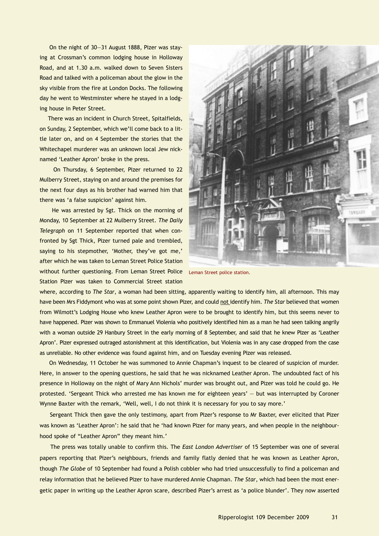On the night of 30—31 August 1888, Pizer was staying at Crossman's common lodging house in Holloway Road, and at 1.30 a.m. walked down to Seven Sisters Road and talked with a policeman about the glow in the sky visible from the fire at London Docks. The following day he went to Westminster where he stayed in a lodging house in Peter Street.

There was an incident in Church Street, Spitalfields, on Sunday, 2 September, which we'll come back to a little later on, and on 4 September the stories that the Whitechapel murderer was an unknown local Jew nicknamed 'Leather Apron' broke in the press.

On Thursday, 6 September, Pizer returned to 22 Mulberry Street, staying on and around the premises for the next four days as his brother had warned him that there was 'a false suspicion' against him.

He was arrested by Sgt. Thick on the morning of Monday, 10 September at 22 Mulberry Street. *The Daily Telegraph* on 11 September reported that when confronted by Sgt Thick, Pizer turned pale and trembled, saying to his stepmother, 'Mother, they've got me,' after which he was taken to Leman Street Police Station without further questioning. From Leman Street Police Station Pizer was taken to Commercial Street station



Leman Street police station.

where, according to *The Star*, a woman had been sitting, apparently waiting to identify him, all afternoon. This may have been Mrs Fiddymont who was at some point shown Pizer, and could not identify him. *The Star* believed that women from Wilmott's Lodging House who knew Leather Apron were to be brought to identify him, but this seems never to have happened. Pizer was shown to Emmanuel Violenia who positively identified him as a man he had seen talking angrily with a woman outside 29 Hanbury Street in the early morning of 8 September, and said that he knew Pizer as 'Leather Apron'. Pizer expressed outraged astonishment at this identification, but Violenia was in any case dropped from the case as unreliable. No other evidence was found against him, and on Tuesday evening Pizer was released.

On Wednesday, 11 October he was summoned to Annie Chapman's inquest to be cleared of suspicion of murder. Here, in answer to the opening questions, he said that he was nicknamed Leather Apron. The undoubted fact of his presence in Holloway on the night of Mary Ann Nichols' murder was brought out, and Pizer was told he could go. He protested. 'Sergeant Thick who arrested me has known me for eighteen years' — but was interrupted by Coroner Wynne Baxter with the remark, 'Well, well, I do not think it is necessary for you to say more.'

Sergeant Thick then gave the only testimony, apart from Pizer's response to Mr Baxter, ever elicited that Pizer was known as 'Leather Apron': he said that he 'had known Pizer for many years, and when people in the neighbourhood spoke of "Leather Apron" they meant him.'

The press was totally unable to confirm this. The *East London Advertiser* of 15 September was one of several papers reporting that Pizer's neighbours, friends and family flatly denied that he was known as Leather Apron, though *The Globe* of 10 September had found a Polish cobbler who had tried unsuccessfully to find a policeman and relay information that he believed Pizer to have murdered Annie Chapman. *The Star*, which had been the most energetic paper in writing up the Leather Apron scare, described Pizer's arrest as 'a police blunder'. They now asserted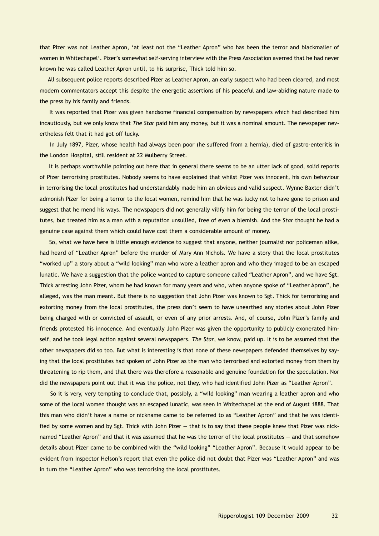that Pizer was not Leather Apron, 'at least not the "Leather Apron" who has been the terror and blackmailer of women in Whitechapel'. Pizer's somewhat self-serving interview with the Press Association averred that he had never known he was called Leather Apron until, to his surprise, Thick told him so.

All subsequent police reports described Pizer as Leather Apron, an early suspect who had been cleared, and most modern commentators accept this despite the energetic assertions of his peaceful and law-abiding nature made to the press by his family and friends.

It was reported that Pizer was given handsome financial compensation by newspapers which had described him incautiously, but we only know that *The Star* paid him any money, but it was a nominal amount. The newspaper nevertheless felt that it had got off lucky.

In July 1897, Pizer, whose health had always been poor (he suffered from a hernia), died of gastro-enteritis in the London Hospital, still resident at 22 Mulberry Street.

It is perhaps worthwhile pointing out here that in general there seems to be an utter lack of good, solid reports of Pizer terrorising prostitutes. Nobody seems to have explained that whilst Pizer was innocent, his own behaviour in terrorising the local prostitutes had understandably made him an obvious and valid suspect. Wynne Baxter didn't admonish Pizer for being a terror to the local women, remind him that he was lucky not to have gone to prison and suggest that he mend his ways. The newspapers did not generally vilify him for being the terror of the local prostitutes, but treated him as a man with a reputation unsullied, free of even a blemish. And the *Star* thought he had a genuine case against them which could have cost them a considerable amount of money.

So, what we have here is little enough evidence to suggest that anyone, neither journalist nor policeman alike, had heard of "Leather Apron" before the murder of Mary Ann Nichols. We have a story that the local prostitutes "worked up" a story about a "wild looking" man who wore a leather apron and who they imaged to be an escaped lunatic. We have a suggestion that the police wanted to capture someone called "Leather Apron", and we have Sgt. Thick arresting John Pizer, whom he had known for many years and who, when anyone spoke of "Leather Apron", he alleged, was the man meant. But there is no suggestion that John Pizer was known to Sgt. Thick for terrorising and extorting money from the local prostitutes, the press don't seem to have unearthed any stories about John Pizer being charged with or convicted of assault, or even of any prior arrests. And, of course, John Pizer's family and friends protested his innocence. And eventually John Pizer was given the opportunity to publicly exonerated himself, and he took legal action against several newspapers. *The Star*, we know, paid up. It is to be assumed that the other newspapers did so too. But what is interesting is that none of these newspapers defended themselves by saying that the local prostitutes had spoken of John Pizer as the man who terrorised and extorted money from them by threatening to rip them, and that there was therefore a reasonable and genuine foundation for the speculation. Nor did the newspapers point out that it was the police, not they, who had identified John Pizer as "Leather Apron".

So it is very, very tempting to conclude that, possibly, a "wild looking" man wearing a leather apron and who some of the local women thought was an escaped lunatic, was seen in Whitechapel at the end of August 1888. That this man who didn't have a name or nickname came to be referred to as "Leather Apron" and that he was identified by some women and by Sgt. Thick with John Pizer — that is to say that these people knew that Pizer was nicknamed "Leather Apron" and that it was assumed that he was the terror of the local prostitutes — and that somehow details about Pizer came to be combined with the "wild looking" "Leather Apron". Because it would appear to be evident from Inspector Helson's report that even the police did not doubt that Pizer was "Leather Apron" and was in turn the "Leather Apron" who was terrorising the local prostitutes.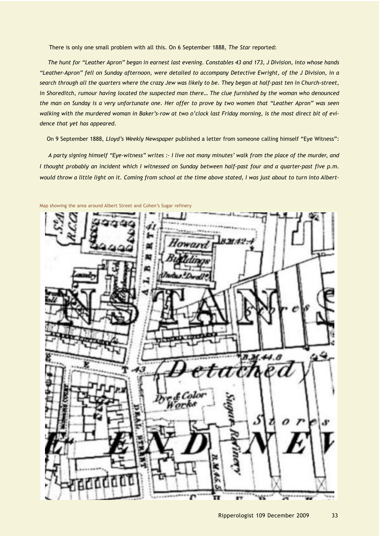There is only one small problem with all this. On 6 September 1888, *The Star* reported:

The hunt for "Leather Apron" began in earnest last evening. Constables 43 and 173, J Division, into whose hands "Leather-Apron" fell on Sunday afternoon, were detailed to accompany Detective Ewright, of the J Division, in a search through all the quarters where the crazy Jew was likely to be. They began at half-past ten in Church-street, in Shoreditch, rumour having located the suspected man there... The clue furnished by the woman who denounced the man on Sunday is a very unfortunate one. Her offer to prove by two women that "Leather Apron" was seen walking with the murdered woman in Baker's-row at two o'clock last Friday morning, is the most direct bit of evi*dence that yet has appeared.*

On 9 September 1888, *Lloyd's Weekly Newspaper* published a letter from someone calling himself "Eye Witness":

A party signing himself "Eye-witness" writes :- I live not many minutes' walk from the place of the murder, and I thought probably an incident which I witnessed on Sunday between half-past four and a quarter-past five p.m. would throw a little light on it. Coming from school at the time above stated, I was just about to turn into Albert-



Map showing the area around Albert Street and Cohen's Sugar refinery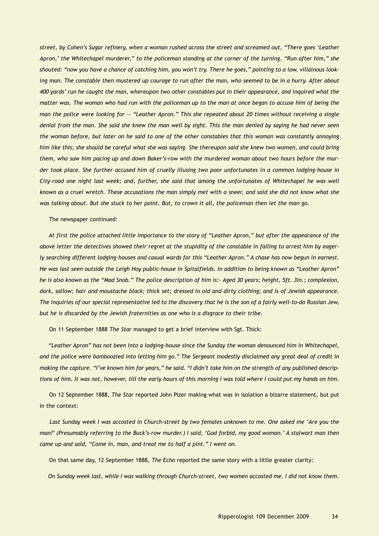street, by Cohen's Sugar refinery, when a woman rushed across the street and screamed out, "There goes 'Leather Apron,' the Whitechapel murderer," to the policeman standing at the corner of the turning. "Run after him," she shouted: "now you have a chance of catching him, you won't try. There he goes," pointing to a low, villainous looking man. The constable then mustered up courage to run after the man, who seemed to be in a hurry. After about 400 yards' run he caught the man, whereupon two other constables put in their appearance, and inquired what the matter was. The woman who had run with the policeman up to the man at once began to accuse him of being the man the police were looking for  $-$  "Leather Apron." This she repeated about 20 times without receiving a single denial from the man. She said she knew the man well by sight. This the man denied by saying he had never seen the woman before, but later on he said to one of the other constables that this woman was constantly annoying him like this; she should be careful what she was saying. She thereupon said she knew two women, and could bring them, who saw him pacing up and down Baker's-row with the murdered woman about two hours before the murder took place. She further accused him of cruelly illusing two poor unfortunates in a common lodging-house in City-road one night last week; and, further, she said that among the unfortunates of Whitechapel he was well known as a cruel wretch. These accusations the man simply met with a sneer, and said she did not know what she was talking about. But she stuck to her point. But, to crown it all, the policeman then let the man go.

The newspaper continued:

At first the police attached little importance to the story of "Leather Apron," but after the appearance of the above letter the detectives showed their regret at the stupidity of the constable in failing to arrest him by eagerly searching different lodging-houses and casual wards for this "Leather Apron." A chase has now begun in earnest. He was last seen outside the Leigh Hoy public-house in Spitalfields. In addition to being known as "Leather Apron" he is also known as the "Mad Snob." The police description of him is:- Aged 30 years; height, 5ft. 3in.; complexion, dark, sallow; hair and moustache black; thick set; dressed in old and dirty clothing; and is of Jewish appearance. The inquiries of our special representative led to the discovery that he is the son of a fairly well-to-do Russian Jew, *but he is discarded by the Jewish fraternities as one who is a disgrace to their tribe.*

On 11 September 1888 *The Star* managed to get a brief interview with Sgt. Thick:

"Leather Apron" has not been into a lodging-house since the Sunday the woman denounced him in Whitechapel, and the police were bamboozled into letting him go." The Sergeant modestly disclaimed any great deal of credit in making the capture. "I've known him for years," he said. "I didn't take him on the strength of any published descriptions of him. It was not, however, till the early hours of this morning I was told where I could put my hands on him.

On 12 September 1888, *The Star* reported John Pizer making what was in isolation a bizarre statement, but put in the context:

Last Sunday week I was accosted in Church-street by two females unknown to me. One asked me 'Are you the man?' (Presumably referring to the Buck's-row murder.) I said, 'God forbid, my good woman.' A stalwart man then *came up and said, "Come in, man, and treat me to half a pint." I went on.*

On that same day, 12 September 1888, *The Echo* reported the same story with a little greater clarity:

On Sunday week last, while I was walking through Church-street, two women accosted me. I did not know them.